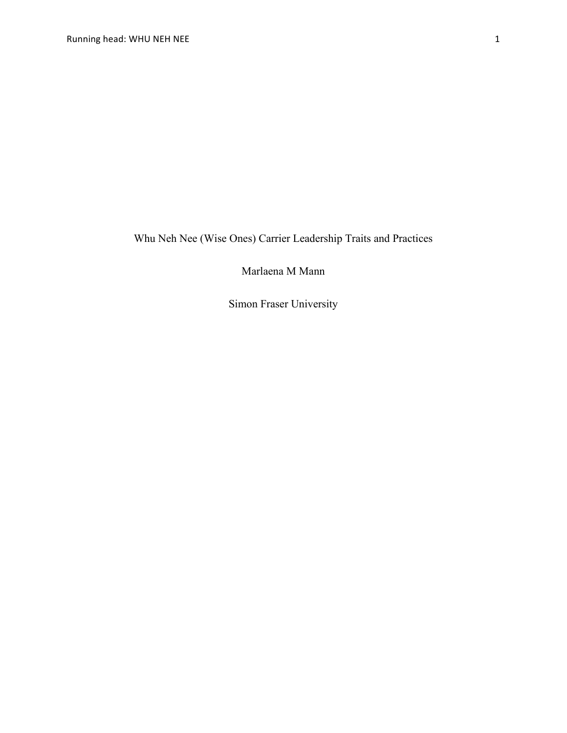Whu Neh Nee (Wise Ones) Carrier Leadership Traits and Practices

Marlaena M Mann

Simon Fraser University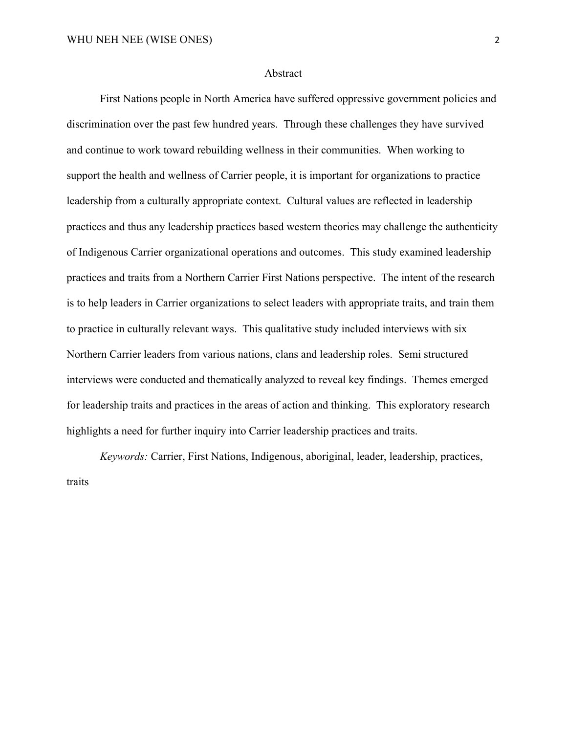## Abstract

First Nations people in North America have suffered oppressive government policies and discrimination over the past few hundred years. Through these challenges they have survived and continue to work toward rebuilding wellness in their communities. When working to support the health and wellness of Carrier people, it is important for organizations to practice leadership from a culturally appropriate context. Cultural values are reflected in leadership practices and thus any leadership practices based western theories may challenge the authenticity of Indigenous Carrier organizational operations and outcomes. This study examined leadership practices and traits from a Northern Carrier First Nations perspective. The intent of the research is to help leaders in Carrier organizations to select leaders with appropriate traits, and train them to practice in culturally relevant ways. This qualitative study included interviews with six Northern Carrier leaders from various nations, clans and leadership roles. Semi structured interviews were conducted and thematically analyzed to reveal key findings. Themes emerged for leadership traits and practices in the areas of action and thinking. This exploratory research highlights a need for further inquiry into Carrier leadership practices and traits.

*Keywords:* Carrier, First Nations, Indigenous, aboriginal, leader, leadership, practices, traits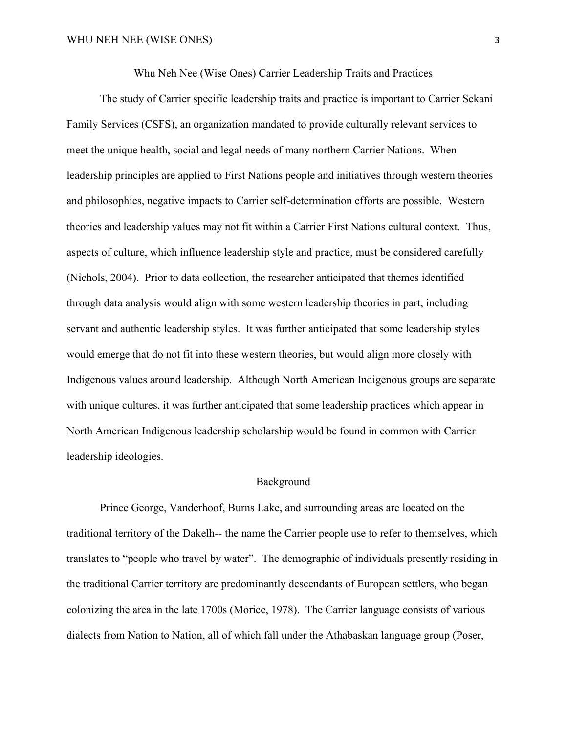Whu Neh Nee (Wise Ones) Carrier Leadership Traits and Practices

The study of Carrier specific leadership traits and practice is important to Carrier Sekani Family Services (CSFS), an organization mandated to provide culturally relevant services to meet the unique health, social and legal needs of many northern Carrier Nations. When leadership principles are applied to First Nations people and initiatives through western theories and philosophies, negative impacts to Carrier self-determination efforts are possible. Western theories and leadership values may not fit within a Carrier First Nations cultural context. Thus, aspects of culture, which influence leadership style and practice, must be considered carefully (Nichols, 2004). Prior to data collection, the researcher anticipated that themes identified through data analysis would align with some western leadership theories in part, including servant and authentic leadership styles. It was further anticipated that some leadership styles would emerge that do not fit into these western theories, but would align more closely with Indigenous values around leadership. Although North American Indigenous groups are separate with unique cultures, it was further anticipated that some leadership practices which appear in North American Indigenous leadership scholarship would be found in common with Carrier leadership ideologies.

## Background

Prince George, Vanderhoof, Burns Lake, and surrounding areas are located on the traditional territory of the Dakelh-- the name the Carrier people use to refer to themselves, which translates to "people who travel by water". The demographic of individuals presently residing in the traditional Carrier territory are predominantly descendants of European settlers, who began colonizing the area in the late 1700s (Morice, 1978). The Carrier language consists of various dialects from Nation to Nation, all of which fall under the Athabaskan language group (Poser,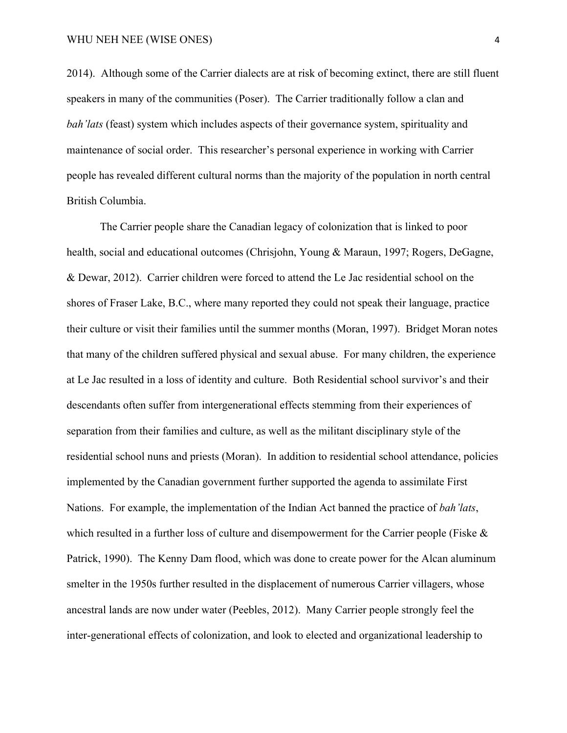2014). Although some of the Carrier dialects are at risk of becoming extinct, there are still fluent speakers in many of the communities (Poser). The Carrier traditionally follow a clan and *bah'lats* (feast) system which includes aspects of their governance system, spirituality and maintenance of social order. This researcher's personal experience in working with Carrier people has revealed different cultural norms than the majority of the population in north central British Columbia.

The Carrier people share the Canadian legacy of colonization that is linked to poor health, social and educational outcomes (Chrisjohn, Young & Maraun, 1997; Rogers, DeGagne, & Dewar, 2012). Carrier children were forced to attend the Le Jac residential school on the shores of Fraser Lake, B.C., where many reported they could not speak their language, practice their culture or visit their families until the summer months (Moran, 1997). Bridget Moran notes that many of the children suffered physical and sexual abuse. For many children, the experience at Le Jac resulted in a loss of identity and culture. Both Residential school survivor's and their descendants often suffer from intergenerational effects stemming from their experiences of separation from their families and culture, as well as the militant disciplinary style of the residential school nuns and priests (Moran). In addition to residential school attendance, policies implemented by the Canadian government further supported the agenda to assimilate First Nations. For example, the implementation of the Indian Act banned the practice of *bah'lats*, which resulted in a further loss of culture and disempowerment for the Carrier people (Fiske & Patrick, 1990). The Kenny Dam flood, which was done to create power for the Alcan aluminum smelter in the 1950s further resulted in the displacement of numerous Carrier villagers, whose ancestral lands are now under water (Peebles, 2012). Many Carrier people strongly feel the inter-generational effects of colonization, and look to elected and organizational leadership to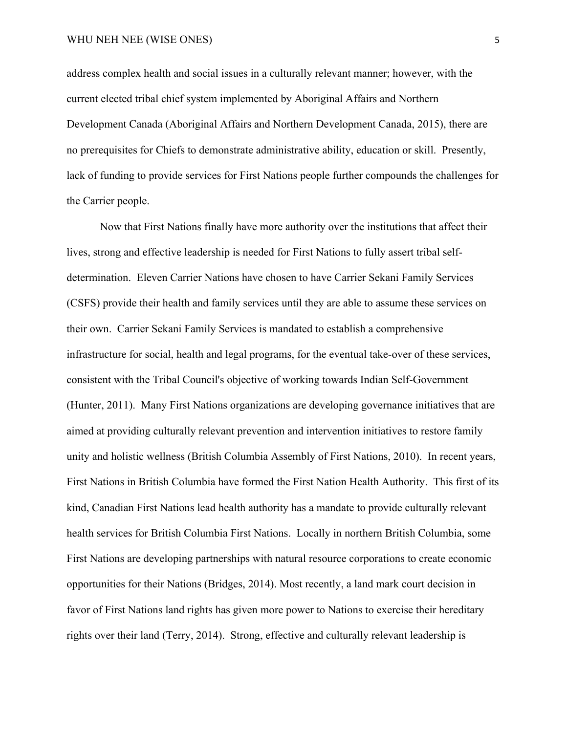address complex health and social issues in a culturally relevant manner; however, with the current elected tribal chief system implemented by Aboriginal Affairs and Northern Development Canada (Aboriginal Affairs and Northern Development Canada, 2015), there are no prerequisites for Chiefs to demonstrate administrative ability, education or skill. Presently, lack of funding to provide services for First Nations people further compounds the challenges for the Carrier people.

Now that First Nations finally have more authority over the institutions that affect their lives, strong and effective leadership is needed for First Nations to fully assert tribal selfdetermination. Eleven Carrier Nations have chosen to have Carrier Sekani Family Services (CSFS) provide their health and family services until they are able to assume these services on their own. Carrier Sekani Family Services is mandated to establish a comprehensive infrastructure for social, health and legal programs, for the eventual take-over of these services, consistent with the Tribal Council's objective of working towards Indian Self-Government (Hunter, 2011). Many First Nations organizations are developing governance initiatives that are aimed at providing culturally relevant prevention and intervention initiatives to restore family unity and holistic wellness (British Columbia Assembly of First Nations, 2010). In recent years, First Nations in British Columbia have formed the First Nation Health Authority. This first of its kind, Canadian First Nations lead health authority has a mandate to provide culturally relevant health services for British Columbia First Nations. Locally in northern British Columbia, some First Nations are developing partnerships with natural resource corporations to create economic opportunities for their Nations (Bridges, 2014). Most recently, a land mark court decision in favor of First Nations land rights has given more power to Nations to exercise their hereditary rights over their land (Terry, 2014). Strong, effective and culturally relevant leadership is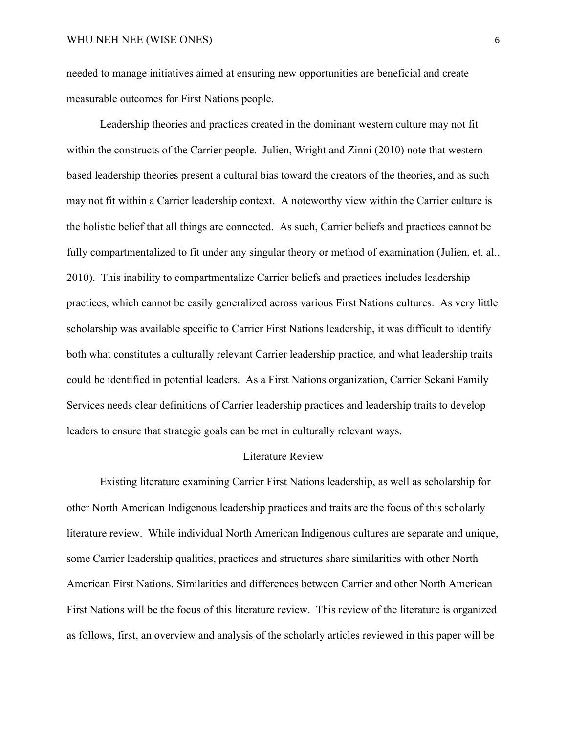needed to manage initiatives aimed at ensuring new opportunities are beneficial and create measurable outcomes for First Nations people.

Leadership theories and practices created in the dominant western culture may not fit within the constructs of the Carrier people. Julien, Wright and Zinni (2010) note that western based leadership theories present a cultural bias toward the creators of the theories, and as such may not fit within a Carrier leadership context. A noteworthy view within the Carrier culture is the holistic belief that all things are connected. As such, Carrier beliefs and practices cannot be fully compartmentalized to fit under any singular theory or method of examination (Julien, et. al., 2010). This inability to compartmentalize Carrier beliefs and practices includes leadership practices, which cannot be easily generalized across various First Nations cultures. As very little scholarship was available specific to Carrier First Nations leadership, it was difficult to identify both what constitutes a culturally relevant Carrier leadership practice, and what leadership traits could be identified in potential leaders. As a First Nations organization, Carrier Sekani Family Services needs clear definitions of Carrier leadership practices and leadership traits to develop leaders to ensure that strategic goals can be met in culturally relevant ways.

## Literature Review

Existing literature examining Carrier First Nations leadership, as well as scholarship for other North American Indigenous leadership practices and traits are the focus of this scholarly literature review. While individual North American Indigenous cultures are separate and unique, some Carrier leadership qualities, practices and structures share similarities with other North American First Nations. Similarities and differences between Carrier and other North American First Nations will be the focus of this literature review. This review of the literature is organized as follows, first, an overview and analysis of the scholarly articles reviewed in this paper will be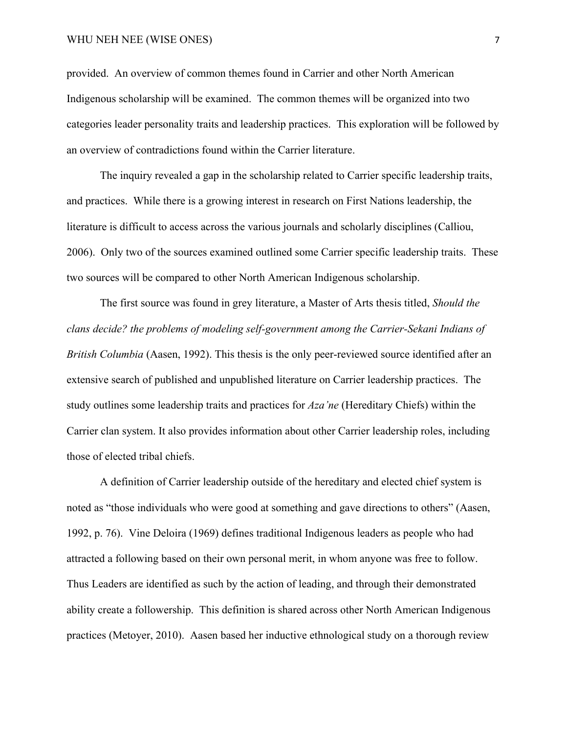provided. An overview of common themes found in Carrier and other North American Indigenous scholarship will be examined. The common themes will be organized into two categories leader personality traits and leadership practices. This exploration will be followed by an overview of contradictions found within the Carrier literature.

The inquiry revealed a gap in the scholarship related to Carrier specific leadership traits, and practices. While there is a growing interest in research on First Nations leadership, the literature is difficult to access across the various journals and scholarly disciplines (Calliou, 2006). Only two of the sources examined outlined some Carrier specific leadership traits. These two sources will be compared to other North American Indigenous scholarship.

The first source was found in grey literature, a Master of Arts thesis titled, *Should the clans decide? the problems of modeling self-government among the Carrier-Sekani Indians of British Columbia* (Aasen, 1992). This thesis is the only peer-reviewed source identified after an extensive search of published and unpublished literature on Carrier leadership practices. The study outlines some leadership traits and practices for *Aza'ne* (Hereditary Chiefs) within the Carrier clan system. It also provides information about other Carrier leadership roles, including those of elected tribal chiefs.

A definition of Carrier leadership outside of the hereditary and elected chief system is noted as "those individuals who were good at something and gave directions to others" (Aasen, 1992, p. 76). Vine Deloira (1969) defines traditional Indigenous leaders as people who had attracted a following based on their own personal merit, in whom anyone was free to follow. Thus Leaders are identified as such by the action of leading, and through their demonstrated ability create a followership. This definition is shared across other North American Indigenous practices (Metoyer, 2010). Aasen based her inductive ethnological study on a thorough review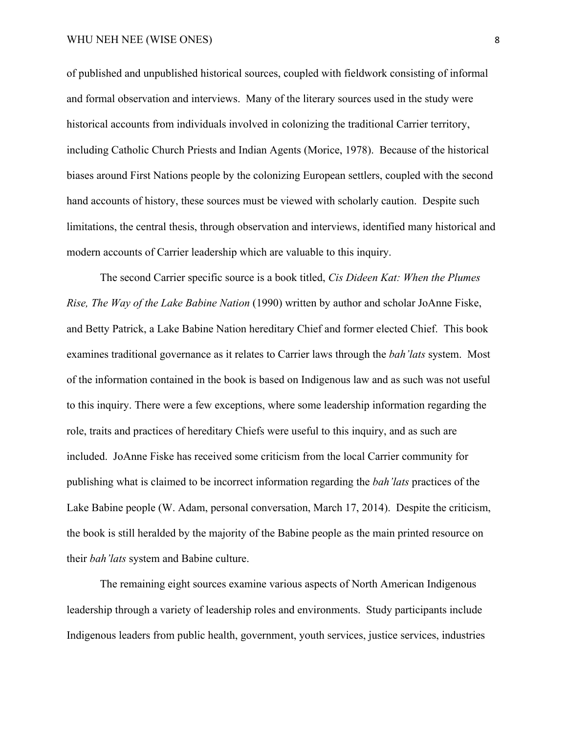of published and unpublished historical sources, coupled with fieldwork consisting of informal and formal observation and interviews. Many of the literary sources used in the study were historical accounts from individuals involved in colonizing the traditional Carrier territory, including Catholic Church Priests and Indian Agents (Morice, 1978). Because of the historical biases around First Nations people by the colonizing European settlers, coupled with the second hand accounts of history, these sources must be viewed with scholarly caution. Despite such limitations, the central thesis, through observation and interviews, identified many historical and modern accounts of Carrier leadership which are valuable to this inquiry.

The second Carrier specific source is a book titled, *Cis Dideen Kat: When the Plumes Rise, The Way of the Lake Babine Nation* (1990) written by author and scholar JoAnne Fiske, and Betty Patrick, a Lake Babine Nation hereditary Chief and former elected Chief. This book examines traditional governance as it relates to Carrier laws through the *bah'lats* system. Most of the information contained in the book is based on Indigenous law and as such was not useful to this inquiry. There were a few exceptions, where some leadership information regarding the role, traits and practices of hereditary Chiefs were useful to this inquiry, and as such are included. JoAnne Fiske has received some criticism from the local Carrier community for publishing what is claimed to be incorrect information regarding the *bah'lats* practices of the Lake Babine people (W. Adam, personal conversation, March 17, 2014). Despite the criticism, the book is still heralded by the majority of the Babine people as the main printed resource on their *bah'lats* system and Babine culture.

The remaining eight sources examine various aspects of North American Indigenous leadership through a variety of leadership roles and environments. Study participants include Indigenous leaders from public health, government, youth services, justice services, industries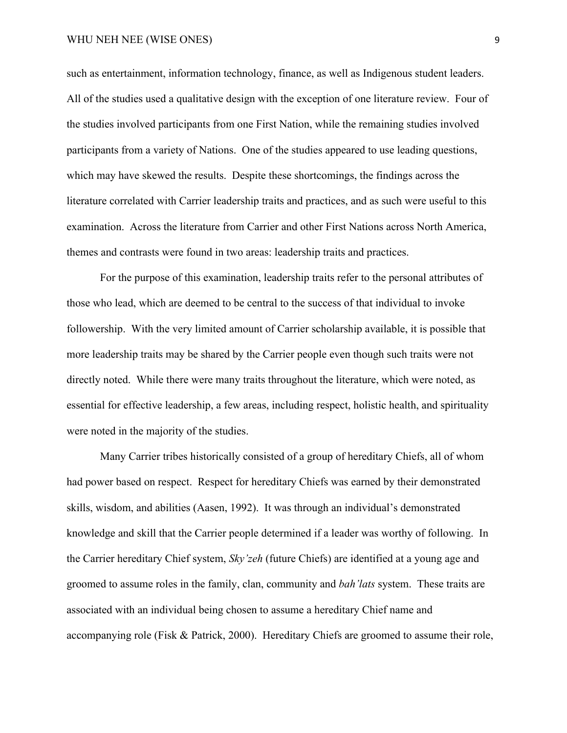such as entertainment, information technology, finance, as well as Indigenous student leaders. All of the studies used a qualitative design with the exception of one literature review. Four of the studies involved participants from one First Nation, while the remaining studies involved participants from a variety of Nations. One of the studies appeared to use leading questions, which may have skewed the results. Despite these shortcomings, the findings across the literature correlated with Carrier leadership traits and practices, and as such were useful to this examination. Across the literature from Carrier and other First Nations across North America, themes and contrasts were found in two areas: leadership traits and practices.

For the purpose of this examination, leadership traits refer to the personal attributes of those who lead, which are deemed to be central to the success of that individual to invoke followership. With the very limited amount of Carrier scholarship available, it is possible that more leadership traits may be shared by the Carrier people even though such traits were not directly noted. While there were many traits throughout the literature, which were noted, as essential for effective leadership, a few areas, including respect, holistic health, and spirituality were noted in the majority of the studies.

Many Carrier tribes historically consisted of a group of hereditary Chiefs, all of whom had power based on respect. Respect for hereditary Chiefs was earned by their demonstrated skills, wisdom, and abilities (Aasen, 1992). It was through an individual's demonstrated knowledge and skill that the Carrier people determined if a leader was worthy of following. In the Carrier hereditary Chief system, *Sky'zeh* (future Chiefs) are identified at a young age and groomed to assume roles in the family, clan, community and *bah'lats* system. These traits are associated with an individual being chosen to assume a hereditary Chief name and accompanying role (Fisk & Patrick, 2000). Hereditary Chiefs are groomed to assume their role,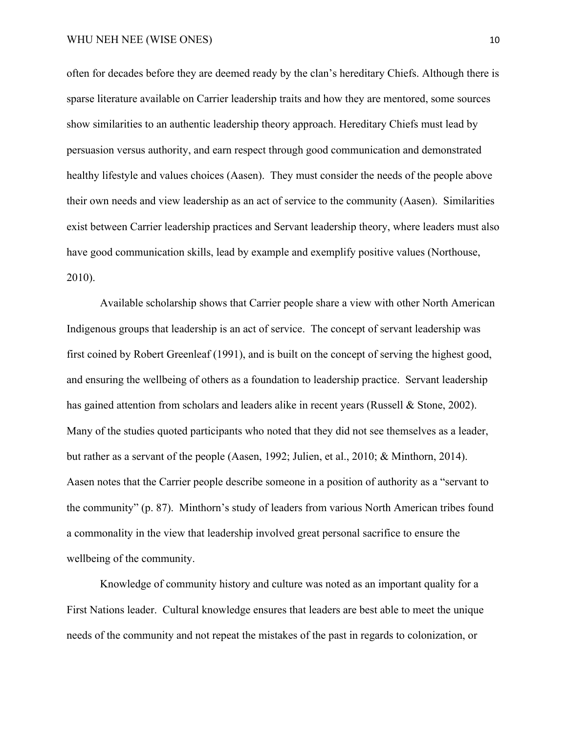often for decades before they are deemed ready by the clan's hereditary Chiefs. Although there is sparse literature available on Carrier leadership traits and how they are mentored, some sources show similarities to an authentic leadership theory approach. Hereditary Chiefs must lead by persuasion versus authority, and earn respect through good communication and demonstrated healthy lifestyle and values choices (Aasen). They must consider the needs of the people above their own needs and view leadership as an act of service to the community (Aasen). Similarities exist between Carrier leadership practices and Servant leadership theory, where leaders must also have good communication skills, lead by example and exemplify positive values (Northouse, 2010).

Available scholarship shows that Carrier people share a view with other North American Indigenous groups that leadership is an act of service. The concept of servant leadership was first coined by Robert Greenleaf (1991), and is built on the concept of serving the highest good, and ensuring the wellbeing of others as a foundation to leadership practice. Servant leadership has gained attention from scholars and leaders alike in recent years (Russell & Stone, 2002). Many of the studies quoted participants who noted that they did not see themselves as a leader, but rather as a servant of the people (Aasen, 1992; Julien, et al., 2010; & Minthorn, 2014). Aasen notes that the Carrier people describe someone in a position of authority as a "servant to the community" (p. 87). Minthorn's study of leaders from various North American tribes found a commonality in the view that leadership involved great personal sacrifice to ensure the wellbeing of the community.

Knowledge of community history and culture was noted as an important quality for a First Nations leader. Cultural knowledge ensures that leaders are best able to meet the unique needs of the community and not repeat the mistakes of the past in regards to colonization, or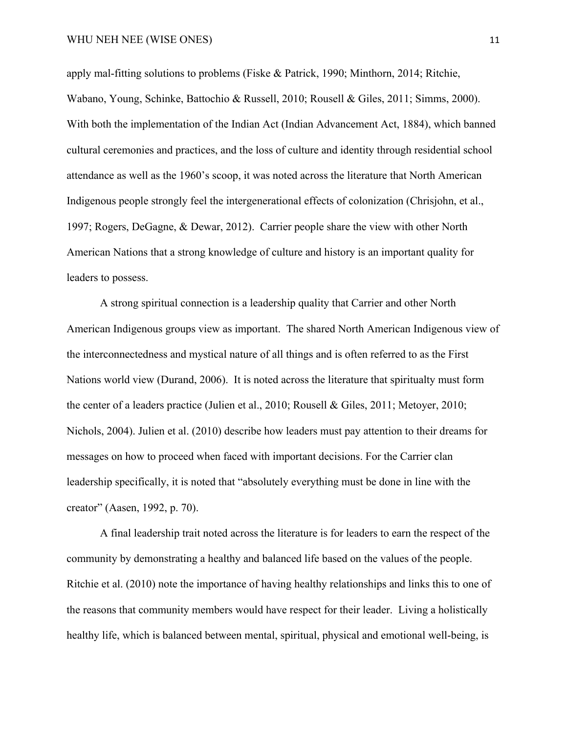apply mal-fitting solutions to problems (Fiske & Patrick, 1990; Minthorn, 2014; Ritchie, Wabano, Young, Schinke, Battochio & Russell, 2010; Rousell & Giles, 2011; Simms, 2000). With both the implementation of the Indian Act (Indian Advancement Act, 1884), which banned cultural ceremonies and practices, and the loss of culture and identity through residential school attendance as well as the 1960's scoop, it was noted across the literature that North American Indigenous people strongly feel the intergenerational effects of colonization (Chrisjohn, et al., 1997; Rogers, DeGagne, & Dewar, 2012). Carrier people share the view with other North American Nations that a strong knowledge of culture and history is an important quality for leaders to possess.

A strong spiritual connection is a leadership quality that Carrier and other North American Indigenous groups view as important. The shared North American Indigenous view of the interconnectedness and mystical nature of all things and is often referred to as the First Nations world view (Durand, 2006). It is noted across the literature that spiritualty must form the center of a leaders practice (Julien et al., 2010; Rousell & Giles, 2011; Metoyer, 2010; Nichols, 2004). Julien et al. (2010) describe how leaders must pay attention to their dreams for messages on how to proceed when faced with important decisions. For the Carrier clan leadership specifically, it is noted that "absolutely everything must be done in line with the creator" (Aasen, 1992, p. 70).

A final leadership trait noted across the literature is for leaders to earn the respect of the community by demonstrating a healthy and balanced life based on the values of the people. Ritchie et al. (2010) note the importance of having healthy relationships and links this to one of the reasons that community members would have respect for their leader. Living a holistically healthy life, which is balanced between mental, spiritual, physical and emotional well-being, is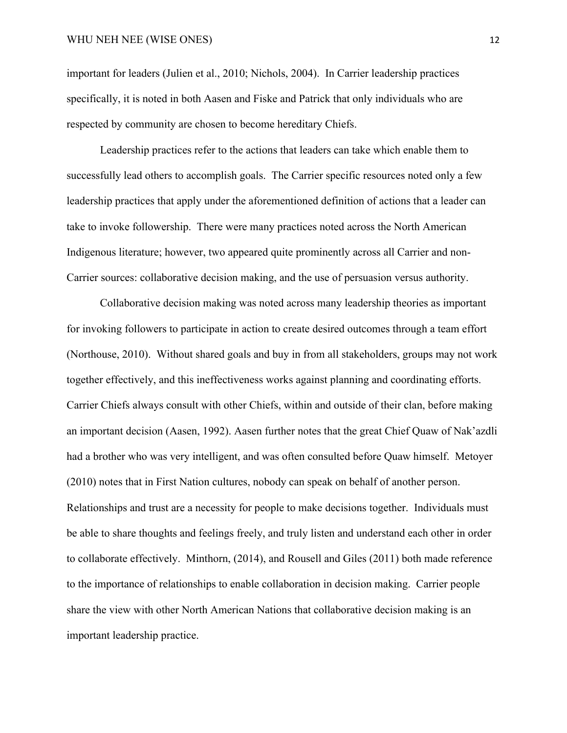important for leaders (Julien et al., 2010; Nichols, 2004). In Carrier leadership practices specifically, it is noted in both Aasen and Fiske and Patrick that only individuals who are respected by community are chosen to become hereditary Chiefs.

Leadership practices refer to the actions that leaders can take which enable them to successfully lead others to accomplish goals. The Carrier specific resources noted only a few leadership practices that apply under the aforementioned definition of actions that a leader can take to invoke followership. There were many practices noted across the North American Indigenous literature; however, two appeared quite prominently across all Carrier and non-Carrier sources: collaborative decision making, and the use of persuasion versus authority.

Collaborative decision making was noted across many leadership theories as important for invoking followers to participate in action to create desired outcomes through a team effort (Northouse, 2010). Without shared goals and buy in from all stakeholders, groups may not work together effectively, and this ineffectiveness works against planning and coordinating efforts. Carrier Chiefs always consult with other Chiefs, within and outside of their clan, before making an important decision (Aasen, 1992). Aasen further notes that the great Chief Quaw of Nak'azdli had a brother who was very intelligent, and was often consulted before Quaw himself. Metoyer (2010) notes that in First Nation cultures, nobody can speak on behalf of another person. Relationships and trust are a necessity for people to make decisions together. Individuals must be able to share thoughts and feelings freely, and truly listen and understand each other in order to collaborate effectively. Minthorn, (2014), and Rousell and Giles (2011) both made reference to the importance of relationships to enable collaboration in decision making. Carrier people share the view with other North American Nations that collaborative decision making is an important leadership practice.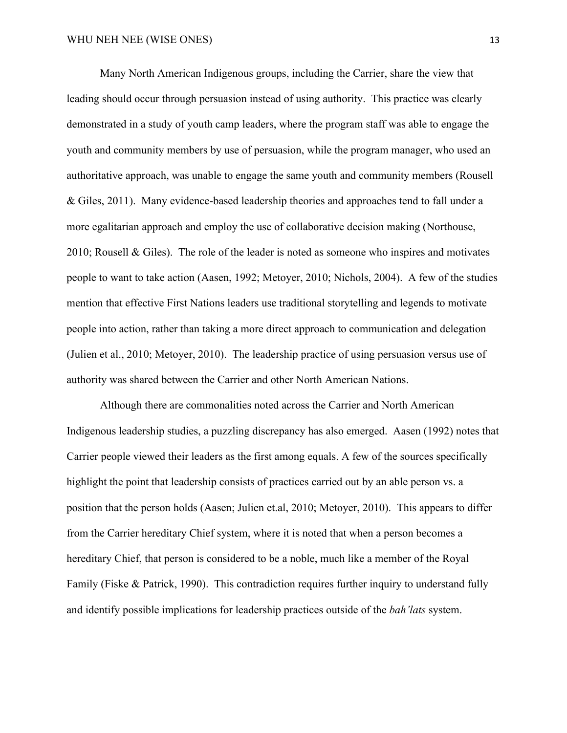Many North American Indigenous groups, including the Carrier, share the view that leading should occur through persuasion instead of using authority. This practice was clearly demonstrated in a study of youth camp leaders, where the program staff was able to engage the youth and community members by use of persuasion, while the program manager, who used an authoritative approach, was unable to engage the same youth and community members (Rousell & Giles, 2011). Many evidence-based leadership theories and approaches tend to fall under a more egalitarian approach and employ the use of collaborative decision making (Northouse, 2010; Rousell & Giles). The role of the leader is noted as someone who inspires and motivates people to want to take action (Aasen, 1992; Metoyer, 2010; Nichols, 2004). A few of the studies mention that effective First Nations leaders use traditional storytelling and legends to motivate people into action, rather than taking a more direct approach to communication and delegation (Julien et al., 2010; Metoyer, 2010). The leadership practice of using persuasion versus use of authority was shared between the Carrier and other North American Nations.

Although there are commonalities noted across the Carrier and North American Indigenous leadership studies, a puzzling discrepancy has also emerged. Aasen (1992) notes that Carrier people viewed their leaders as the first among equals. A few of the sources specifically highlight the point that leadership consists of practices carried out by an able person vs. a position that the person holds (Aasen; Julien et.al, 2010; Metoyer, 2010). This appears to differ from the Carrier hereditary Chief system, where it is noted that when a person becomes a hereditary Chief, that person is considered to be a noble, much like a member of the Royal Family (Fiske & Patrick, 1990). This contradiction requires further inquiry to understand fully and identify possible implications for leadership practices outside of the *bah'lats* system.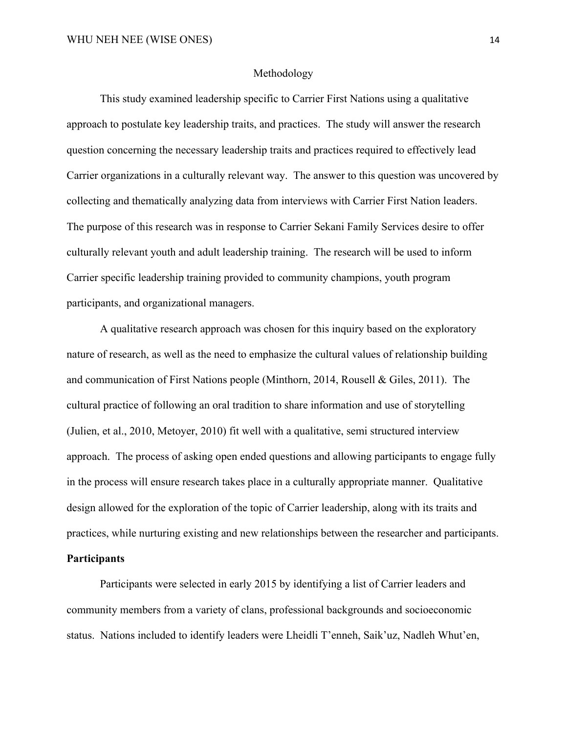# Methodology

This study examined leadership specific to Carrier First Nations using a qualitative approach to postulate key leadership traits, and practices. The study will answer the research question concerning the necessary leadership traits and practices required to effectively lead Carrier organizations in a culturally relevant way. The answer to this question was uncovered by collecting and thematically analyzing data from interviews with Carrier First Nation leaders. The purpose of this research was in response to Carrier Sekani Family Services desire to offer culturally relevant youth and adult leadership training. The research will be used to inform Carrier specific leadership training provided to community champions, youth program participants, and organizational managers.

A qualitative research approach was chosen for this inquiry based on the exploratory nature of research, as well as the need to emphasize the cultural values of relationship building and communication of First Nations people (Minthorn, 2014, Rousell & Giles, 2011). The cultural practice of following an oral tradition to share information and use of storytelling (Julien, et al., 2010, Metoyer, 2010) fit well with a qualitative, semi structured interview approach. The process of asking open ended questions and allowing participants to engage fully in the process will ensure research takes place in a culturally appropriate manner. Qualitative design allowed for the exploration of the topic of Carrier leadership, along with its traits and practices, while nurturing existing and new relationships between the researcher and participants. **Participants**

Participants were selected in early 2015 by identifying a list of Carrier leaders and community members from a variety of clans, professional backgrounds and socioeconomic status. Nations included to identify leaders were Lheidli T'enneh, Saik'uz, Nadleh Whut'en,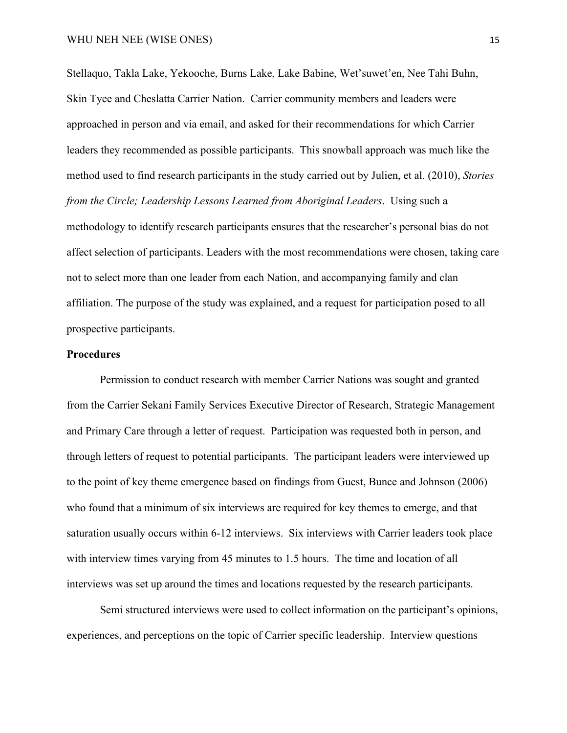Stellaquo, Takla Lake, Yekooche, Burns Lake, Lake Babine, Wet'suwet'en, Nee Tahi Buhn, Skin Tyee and Cheslatta Carrier Nation. Carrier community members and leaders were approached in person and via email, and asked for their recommendations for which Carrier leaders they recommended as possible participants. This snowball approach was much like the method used to find research participants in the study carried out by Julien, et al. (2010), *Stories from the Circle; Leadership Lessons Learned from Aboriginal Leaders*. Using such a methodology to identify research participants ensures that the researcher's personal bias do not affect selection of participants. Leaders with the most recommendations were chosen, taking care not to select more than one leader from each Nation, and accompanying family and clan affiliation. The purpose of the study was explained, and a request for participation posed to all prospective participants.

# **Procedures**

Permission to conduct research with member Carrier Nations was sought and granted from the Carrier Sekani Family Services Executive Director of Research, Strategic Management and Primary Care through a letter of request. Participation was requested both in person, and through letters of request to potential participants. The participant leaders were interviewed up to the point of key theme emergence based on findings from Guest, Bunce and Johnson (2006) who found that a minimum of six interviews are required for key themes to emerge, and that saturation usually occurs within 6-12 interviews. Six interviews with Carrier leaders took place with interview times varying from 45 minutes to 1.5 hours. The time and location of all interviews was set up around the times and locations requested by the research participants.

Semi structured interviews were used to collect information on the participant's opinions, experiences, and perceptions on the topic of Carrier specific leadership. Interview questions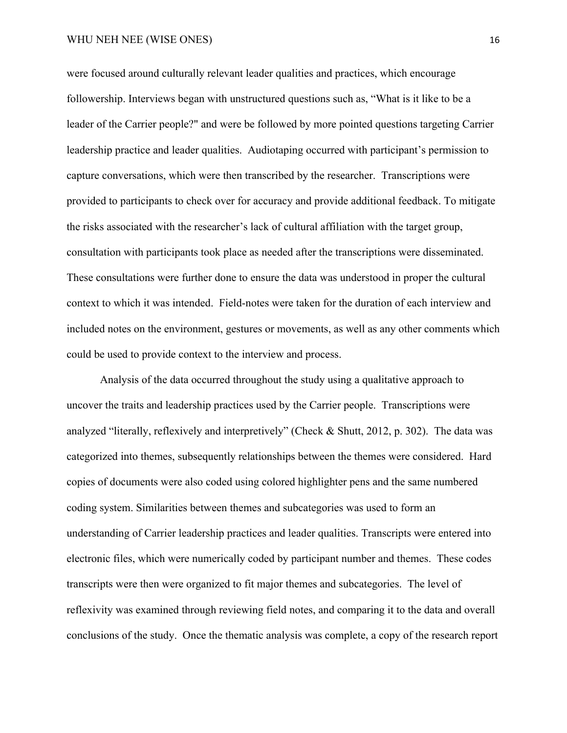## WHU NEH NEE (WISE ONES) 16

were focused around culturally relevant leader qualities and practices, which encourage followership. Interviews began with unstructured questions such as, "What is it like to be a leader of the Carrier people?" and were be followed by more pointed questions targeting Carrier leadership practice and leader qualities. Audiotaping occurred with participant's permission to capture conversations, which were then transcribed by the researcher. Transcriptions were provided to participants to check over for accuracy and provide additional feedback. To mitigate the risks associated with the researcher's lack of cultural affiliation with the target group, consultation with participants took place as needed after the transcriptions were disseminated. These consultations were further done to ensure the data was understood in proper the cultural context to which it was intended. Field-notes were taken for the duration of each interview and included notes on the environment, gestures or movements, as well as any other comments which could be used to provide context to the interview and process.

Analysis of the data occurred throughout the study using a qualitative approach to uncover the traits and leadership practices used by the Carrier people. Transcriptions were analyzed "literally, reflexively and interpretively" (Check & Shutt, 2012, p. 302). The data was categorized into themes, subsequently relationships between the themes were considered. Hard copies of documents were also coded using colored highlighter pens and the same numbered coding system. Similarities between themes and subcategories was used to form an understanding of Carrier leadership practices and leader qualities. Transcripts were entered into electronic files, which were numerically coded by participant number and themes. These codes transcripts were then were organized to fit major themes and subcategories. The level of reflexivity was examined through reviewing field notes, and comparing it to the data and overall conclusions of the study. Once the thematic analysis was complete, a copy of the research report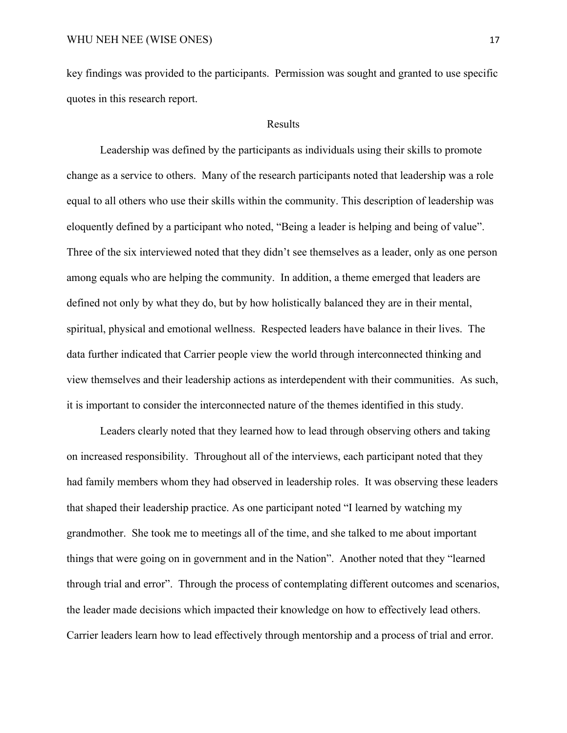key findings was provided to the participants. Permission was sought and granted to use specific quotes in this research report.

# Results

Leadership was defined by the participants as individuals using their skills to promote change as a service to others. Many of the research participants noted that leadership was a role equal to all others who use their skills within the community. This description of leadership was eloquently defined by a participant who noted, "Being a leader is helping and being of value". Three of the six interviewed noted that they didn't see themselves as a leader, only as one person among equals who are helping the community. In addition, a theme emerged that leaders are defined not only by what they do, but by how holistically balanced they are in their mental, spiritual, physical and emotional wellness. Respected leaders have balance in their lives. The data further indicated that Carrier people view the world through interconnected thinking and view themselves and their leadership actions as interdependent with their communities. As such, it is important to consider the interconnected nature of the themes identified in this study.

Leaders clearly noted that they learned how to lead through observing others and taking on increased responsibility. Throughout all of the interviews, each participant noted that they had family members whom they had observed in leadership roles. It was observing these leaders that shaped their leadership practice. As one participant noted "I learned by watching my grandmother. She took me to meetings all of the time, and she talked to me about important things that were going on in government and in the Nation". Another noted that they "learned through trial and error". Through the process of contemplating different outcomes and scenarios, the leader made decisions which impacted their knowledge on how to effectively lead others. Carrier leaders learn how to lead effectively through mentorship and a process of trial and error.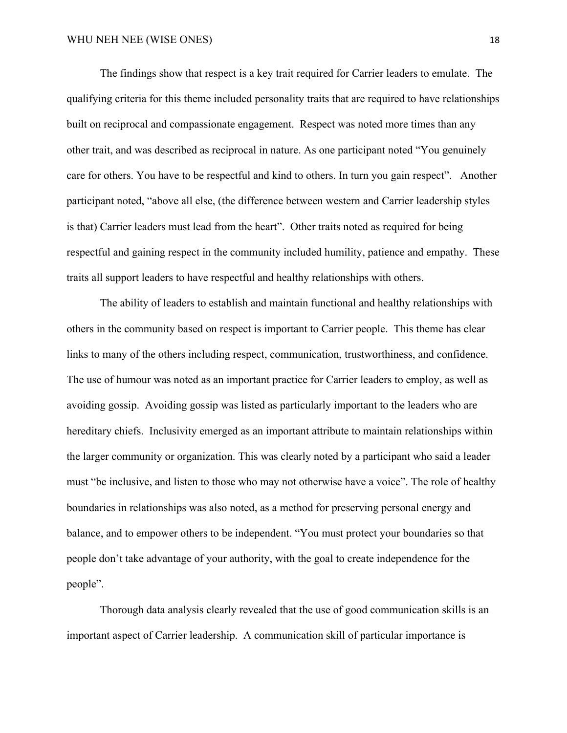The findings show that respect is a key trait required for Carrier leaders to emulate. The qualifying criteria for this theme included personality traits that are required to have relationships built on reciprocal and compassionate engagement. Respect was noted more times than any other trait, and was described as reciprocal in nature. As one participant noted "You genuinely care for others. You have to be respectful and kind to others. In turn you gain respect". Another participant noted, "above all else, (the difference between western and Carrier leadership styles is that) Carrier leaders must lead from the heart". Other traits noted as required for being respectful and gaining respect in the community included humility, patience and empathy. These traits all support leaders to have respectful and healthy relationships with others.

The ability of leaders to establish and maintain functional and healthy relationships with others in the community based on respect is important to Carrier people. This theme has clear links to many of the others including respect, communication, trustworthiness, and confidence. The use of humour was noted as an important practice for Carrier leaders to employ, as well as avoiding gossip. Avoiding gossip was listed as particularly important to the leaders who are hereditary chiefs. Inclusivity emerged as an important attribute to maintain relationships within the larger community or organization. This was clearly noted by a participant who said a leader must "be inclusive, and listen to those who may not otherwise have a voice". The role of healthy boundaries in relationships was also noted, as a method for preserving personal energy and balance, and to empower others to be independent. "You must protect your boundaries so that people don't take advantage of your authority, with the goal to create independence for the people".

Thorough data analysis clearly revealed that the use of good communication skills is an important aspect of Carrier leadership. A communication skill of particular importance is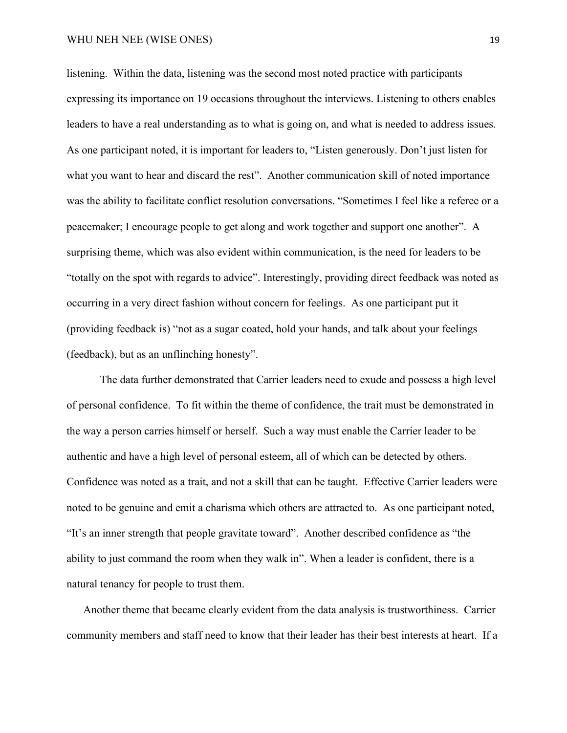## WHU NEH NEE (WISE ONES) 19

listening. Within the data, listening was the second most noted practice with participants expressing its importance on 19 occasions throughout the interviews. Listening to others enables leaders to have a real understanding as to what is going on, and what is needed to address issues. As one participant noted, it is important for leaders to, "Listen generously. Don't just listen for what you want to hear and discard the rest". Another communication skill of noted importance was the ability to facilitate conflict resolution conversations. "Sometimes I feel like a referee or a peacemaker; I encourage people to get along and work together and support one another". A surprising theme, which was also evident within communication, is the need for leaders to be "totally on the spot with regards to advice". Interestingly, providing direct feedback was noted as occurring in a very direct fashion without concern for feelings. As one participant put it (providing feedback is) "not as a sugar coated, hold your hands, and talk about your feelings (feedback), but as an unflinching honesty".

The data further demonstrated that Carrier leaders need to exude and possess a high level of personal confidence. To fit within the theme of confidence, the trait must be demonstrated in the way a person carries himself or herself. Such a way must enable the Carrier leader to be authentic and have a high level of personal esteem, all of which can be detected by others. Confidence was noted as a trait, and not a skill that can be taught. Effective Carrier leaders were noted to be genuine and emit a charisma which others are attracted to. As one participant noted, "It's an inner strength that people gravitate toward". Another described confidence as "the ability to just command the room when they walk in". When a leader is confident, there is a natural tenancy for people to trust them.

Another theme that became clearly evident from the data analysis is trustworthiness. Carrier community members and staff need to know that their leader has their best interests at heart. If a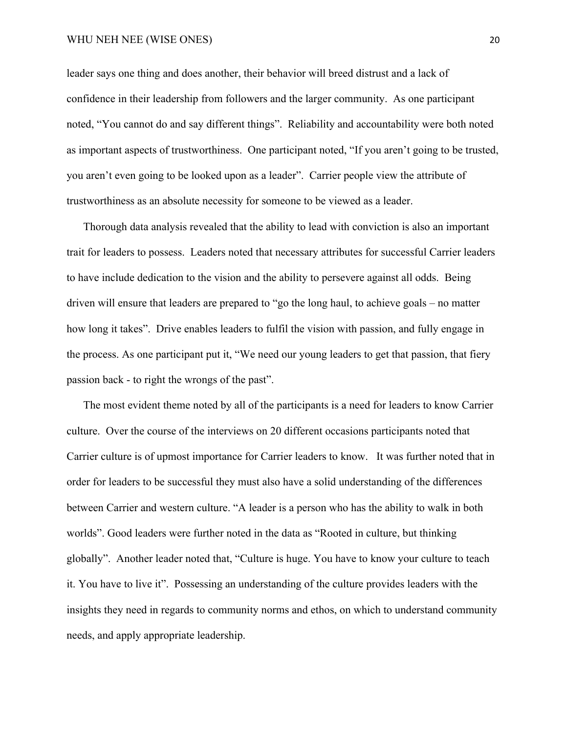#### WHU NEH NEE (WISE ONES) 20

leader says one thing and does another, their behavior will breed distrust and a lack of confidence in their leadership from followers and the larger community. As one participant noted, "You cannot do and say different things". Reliability and accountability were both noted as important aspects of trustworthiness. One participant noted, "If you aren't going to be trusted, you aren't even going to be looked upon as a leader". Carrier people view the attribute of trustworthiness as an absolute necessity for someone to be viewed as a leader.

Thorough data analysis revealed that the ability to lead with conviction is also an important trait for leaders to possess. Leaders noted that necessary attributes for successful Carrier leaders to have include dedication to the vision and the ability to persevere against all odds. Being driven will ensure that leaders are prepared to "go the long haul, to achieve goals – no matter how long it takes". Drive enables leaders to fulfil the vision with passion, and fully engage in the process. As one participant put it, "We need our young leaders to get that passion, that fiery passion back - to right the wrongs of the past".

The most evident theme noted by all of the participants is a need for leaders to know Carrier culture. Over the course of the interviews on 20 different occasions participants noted that Carrier culture is of upmost importance for Carrier leaders to know. It was further noted that in order for leaders to be successful they must also have a solid understanding of the differences between Carrier and western culture. "A leader is a person who has the ability to walk in both worlds". Good leaders were further noted in the data as "Rooted in culture, but thinking globally". Another leader noted that, "Culture is huge. You have to know your culture to teach it. You have to live it". Possessing an understanding of the culture provides leaders with the insights they need in regards to community norms and ethos, on which to understand community needs, and apply appropriate leadership.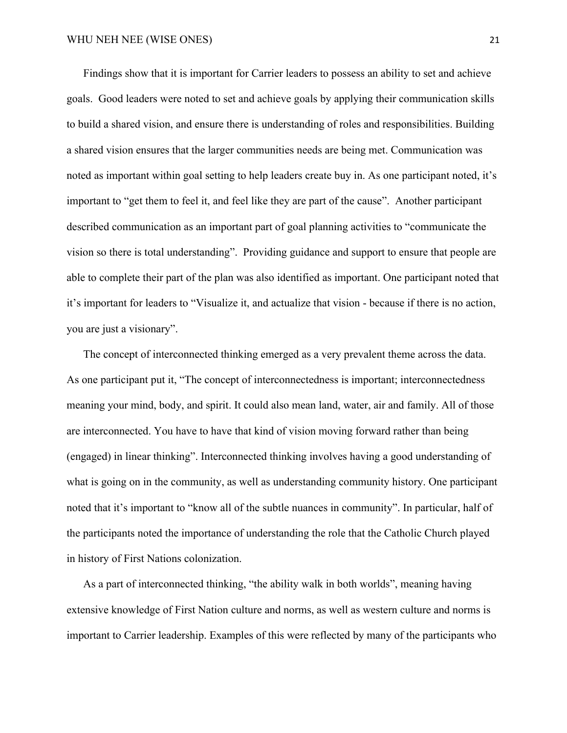Findings show that it is important for Carrier leaders to possess an ability to set and achieve goals. Good leaders were noted to set and achieve goals by applying their communication skills to build a shared vision, and ensure there is understanding of roles and responsibilities. Building a shared vision ensures that the larger communities needs are being met. Communication was noted as important within goal setting to help leaders create buy in. As one participant noted, it's important to "get them to feel it, and feel like they are part of the cause". Another participant described communication as an important part of goal planning activities to "communicate the vision so there is total understanding". Providing guidance and support to ensure that people are able to complete their part of the plan was also identified as important. One participant noted that it's important for leaders to "Visualize it, and actualize that vision - because if there is no action, you are just a visionary".

The concept of interconnected thinking emerged as a very prevalent theme across the data. As one participant put it, "The concept of interconnectedness is important; interconnectedness meaning your mind, body, and spirit. It could also mean land, water, air and family. All of those are interconnected. You have to have that kind of vision moving forward rather than being (engaged) in linear thinking". Interconnected thinking involves having a good understanding of what is going on in the community, as well as understanding community history. One participant noted that it's important to "know all of the subtle nuances in community". In particular, half of the participants noted the importance of understanding the role that the Catholic Church played in history of First Nations colonization.

As a part of interconnected thinking, "the ability walk in both worlds", meaning having extensive knowledge of First Nation culture and norms, as well as western culture and norms is important to Carrier leadership. Examples of this were reflected by many of the participants who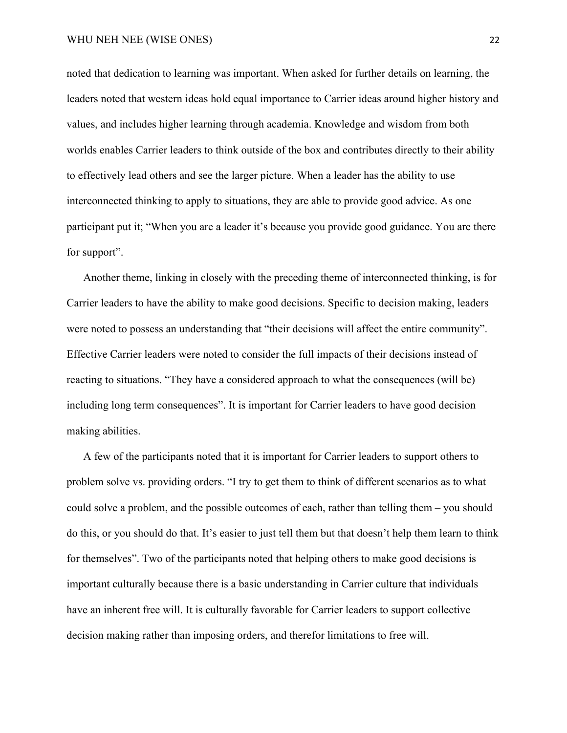noted that dedication to learning was important. When asked for further details on learning, the leaders noted that western ideas hold equal importance to Carrier ideas around higher history and values, and includes higher learning through academia. Knowledge and wisdom from both worlds enables Carrier leaders to think outside of the box and contributes directly to their ability to effectively lead others and see the larger picture. When a leader has the ability to use interconnected thinking to apply to situations, they are able to provide good advice. As one participant put it; "When you are a leader it's because you provide good guidance. You are there for support".

Another theme, linking in closely with the preceding theme of interconnected thinking, is for Carrier leaders to have the ability to make good decisions. Specific to decision making, leaders were noted to possess an understanding that "their decisions will affect the entire community". Effective Carrier leaders were noted to consider the full impacts of their decisions instead of reacting to situations. "They have a considered approach to what the consequences (will be) including long term consequences". It is important for Carrier leaders to have good decision making abilities.

A few of the participants noted that it is important for Carrier leaders to support others to problem solve vs. providing orders. "I try to get them to think of different scenarios as to what could solve a problem, and the possible outcomes of each, rather than telling them – you should do this, or you should do that. It's easier to just tell them but that doesn't help them learn to think for themselves". Two of the participants noted that helping others to make good decisions is important culturally because there is a basic understanding in Carrier culture that individuals have an inherent free will. It is culturally favorable for Carrier leaders to support collective decision making rather than imposing orders, and therefor limitations to free will.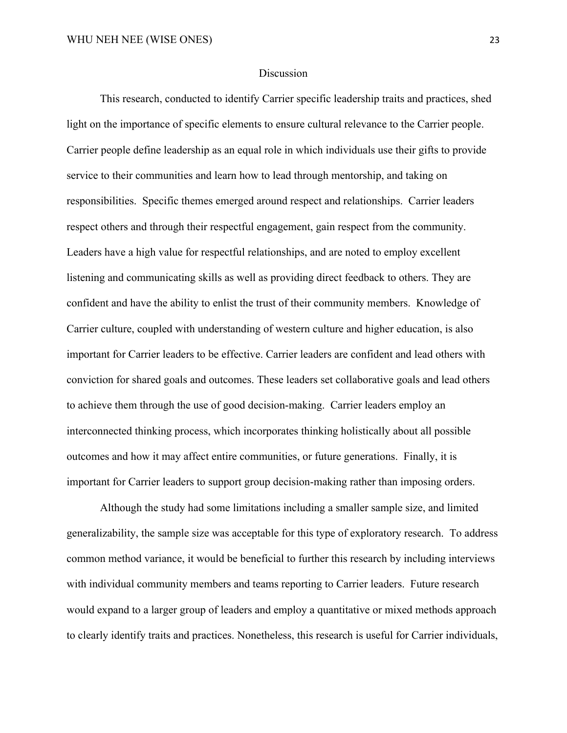## Discussion

This research, conducted to identify Carrier specific leadership traits and practices, shed light on the importance of specific elements to ensure cultural relevance to the Carrier people. Carrier people define leadership as an equal role in which individuals use their gifts to provide service to their communities and learn how to lead through mentorship, and taking on responsibilities. Specific themes emerged around respect and relationships. Carrier leaders respect others and through their respectful engagement, gain respect from the community. Leaders have a high value for respectful relationships, and are noted to employ excellent listening and communicating skills as well as providing direct feedback to others. They are confident and have the ability to enlist the trust of their community members. Knowledge of Carrier culture, coupled with understanding of western culture and higher education, is also important for Carrier leaders to be effective. Carrier leaders are confident and lead others with conviction for shared goals and outcomes. These leaders set collaborative goals and lead others to achieve them through the use of good decision-making. Carrier leaders employ an interconnected thinking process, which incorporates thinking holistically about all possible outcomes and how it may affect entire communities, or future generations. Finally, it is important for Carrier leaders to support group decision-making rather than imposing orders.

Although the study had some limitations including a smaller sample size, and limited generalizability, the sample size was acceptable for this type of exploratory research. To address common method variance, it would be beneficial to further this research by including interviews with individual community members and teams reporting to Carrier leaders. Future research would expand to a larger group of leaders and employ a quantitative or mixed methods approach to clearly identify traits and practices. Nonetheless, this research is useful for Carrier individuals,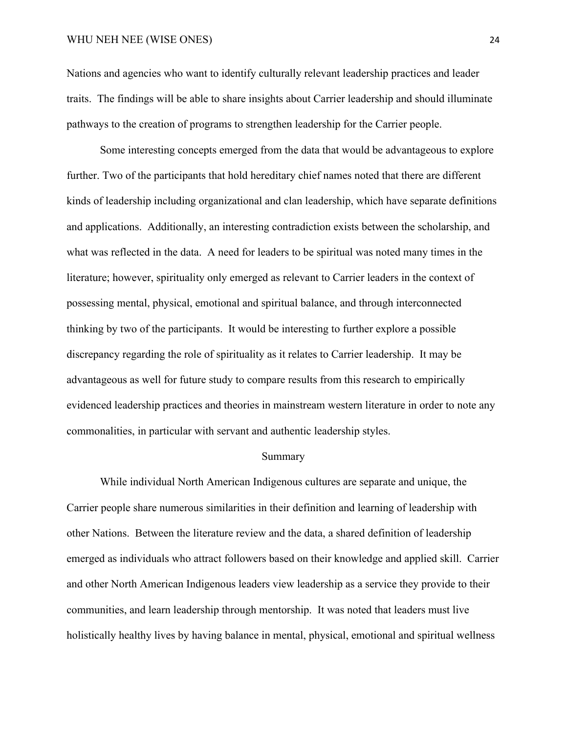Nations and agencies who want to identify culturally relevant leadership practices and leader traits. The findings will be able to share insights about Carrier leadership and should illuminate pathways to the creation of programs to strengthen leadership for the Carrier people.

Some interesting concepts emerged from the data that would be advantageous to explore further. Two of the participants that hold hereditary chief names noted that there are different kinds of leadership including organizational and clan leadership, which have separate definitions and applications. Additionally, an interesting contradiction exists between the scholarship, and what was reflected in the data. A need for leaders to be spiritual was noted many times in the literature; however, spirituality only emerged as relevant to Carrier leaders in the context of possessing mental, physical, emotional and spiritual balance, and through interconnected thinking by two of the participants. It would be interesting to further explore a possible discrepancy regarding the role of spirituality as it relates to Carrier leadership. It may be advantageous as well for future study to compare results from this research to empirically evidenced leadership practices and theories in mainstream western literature in order to note any commonalities, in particular with servant and authentic leadership styles.

#### Summary

While individual North American Indigenous cultures are separate and unique, the Carrier people share numerous similarities in their definition and learning of leadership with other Nations. Between the literature review and the data, a shared definition of leadership emerged as individuals who attract followers based on their knowledge and applied skill. Carrier and other North American Indigenous leaders view leadership as a service they provide to their communities, and learn leadership through mentorship. It was noted that leaders must live holistically healthy lives by having balance in mental, physical, emotional and spiritual wellness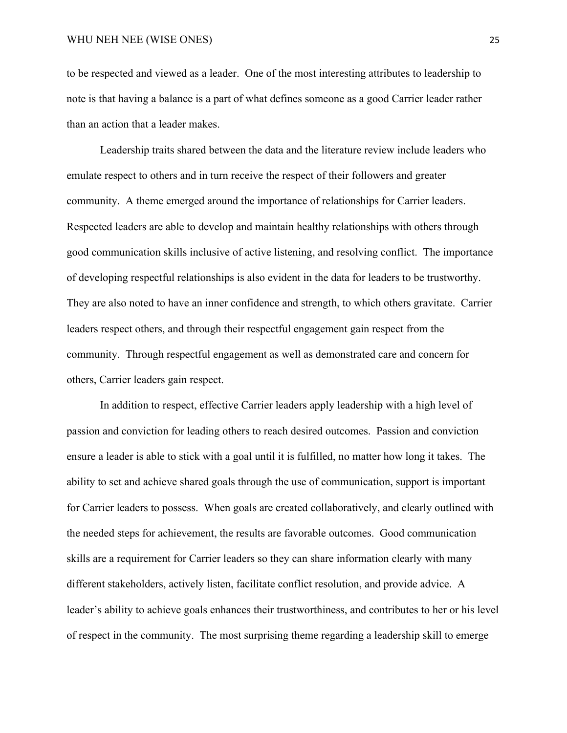to be respected and viewed as a leader. One of the most interesting attributes to leadership to note is that having a balance is a part of what defines someone as a good Carrier leader rather than an action that a leader makes.

Leadership traits shared between the data and the literature review include leaders who emulate respect to others and in turn receive the respect of their followers and greater community. A theme emerged around the importance of relationships for Carrier leaders. Respected leaders are able to develop and maintain healthy relationships with others through good communication skills inclusive of active listening, and resolving conflict. The importance of developing respectful relationships is also evident in the data for leaders to be trustworthy. They are also noted to have an inner confidence and strength, to which others gravitate. Carrier leaders respect others, and through their respectful engagement gain respect from the community. Through respectful engagement as well as demonstrated care and concern for others, Carrier leaders gain respect.

In addition to respect, effective Carrier leaders apply leadership with a high level of passion and conviction for leading others to reach desired outcomes. Passion and conviction ensure a leader is able to stick with a goal until it is fulfilled, no matter how long it takes. The ability to set and achieve shared goals through the use of communication, support is important for Carrier leaders to possess. When goals are created collaboratively, and clearly outlined with the needed steps for achievement, the results are favorable outcomes. Good communication skills are a requirement for Carrier leaders so they can share information clearly with many different stakeholders, actively listen, facilitate conflict resolution, and provide advice. A leader's ability to achieve goals enhances their trustworthiness, and contributes to her or his level of respect in the community. The most surprising theme regarding a leadership skill to emerge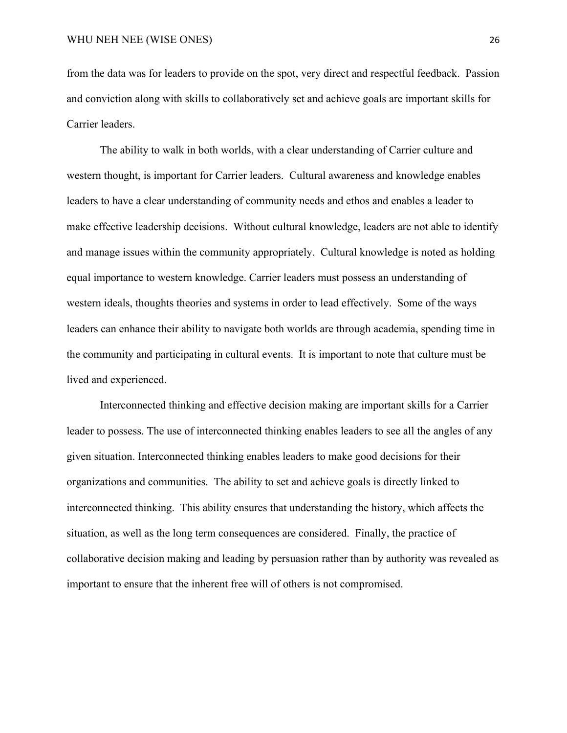from the data was for leaders to provide on the spot, very direct and respectful feedback. Passion and conviction along with skills to collaboratively set and achieve goals are important skills for Carrier leaders.

The ability to walk in both worlds, with a clear understanding of Carrier culture and western thought, is important for Carrier leaders. Cultural awareness and knowledge enables leaders to have a clear understanding of community needs and ethos and enables a leader to make effective leadership decisions. Without cultural knowledge, leaders are not able to identify and manage issues within the community appropriately. Cultural knowledge is noted as holding equal importance to western knowledge. Carrier leaders must possess an understanding of western ideals, thoughts theories and systems in order to lead effectively. Some of the ways leaders can enhance their ability to navigate both worlds are through academia, spending time in the community and participating in cultural events. It is important to note that culture must be lived and experienced.

Interconnected thinking and effective decision making are important skills for a Carrier leader to possess. The use of interconnected thinking enables leaders to see all the angles of any given situation. Interconnected thinking enables leaders to make good decisions for their organizations and communities. The ability to set and achieve goals is directly linked to interconnected thinking. This ability ensures that understanding the history, which affects the situation, as well as the long term consequences are considered. Finally, the practice of collaborative decision making and leading by persuasion rather than by authority was revealed as important to ensure that the inherent free will of others is not compromised.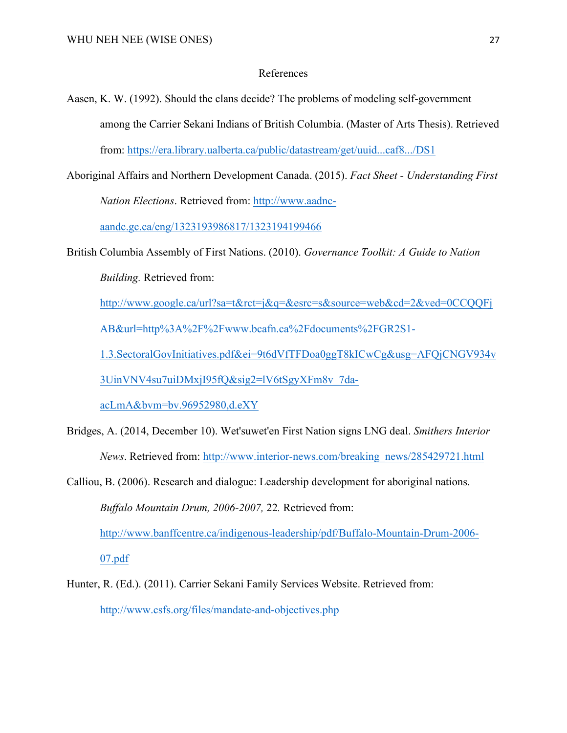## References

- Aasen, K. W. (1992). Should the clans decide? The problems of modeling self-government among the Carrier Sekani Indians of British Columbia. (Master of Arts Thesis). Retrieved from: https://era.library.ualberta.ca/public/datastream/get/uuid...caf8.../DS1
- Aboriginal Affairs and Northern Development Canada. (2015). *Fact Sheet - Understanding First Nation Elections*. Retrieved from: http://www.aadnc-

aandc.gc.ca/eng/1323193986817/1323194199466

British Columbia Assembly of First Nations. (2010). *Governance Toolkit: A Guide to Nation Building.* Retrieved from:

http://www.google.ca/url?sa=t&rct=j&q=&esrc=s&source=web&cd=2&ved=0CCQQFj

AB&url=http%3A%2F%2Fwww.bcafn.ca%2Fdocuments%2FGR2S1-

1.3.SectoralGovInitiatives.pdf&ei=9t6dVfTFDoa0ggT8kICwCg&usg=AFQjCNGV934v

3UinVNV4su7uiDMxjI95fQ&sig2=lV6tSgyXFm8v\_7da-

acLmA&bvm=bv.96952980,d.eXY

- Bridges, A. (2014, December 10). Wet'suwet'en First Nation signs LNG deal. *Smithers Interior News*. Retrieved from: http://www.interior-news.com/breaking\_news/285429721.html
- Calliou, B. (2006). Research and dialogue: Leadership development for aboriginal nations. *Buffalo Mountain Drum, 2006-2007,* 22*.* Retrieved from: http://www.banffcentre.ca/indigenous-leadership/pdf/Buffalo-Mountain-Drum-2006- 07.pdf
- Hunter, R. (Ed.). (2011). Carrier Sekani Family Services Website. Retrieved from: http://www.csfs.org/files/mandate-and-objectives.php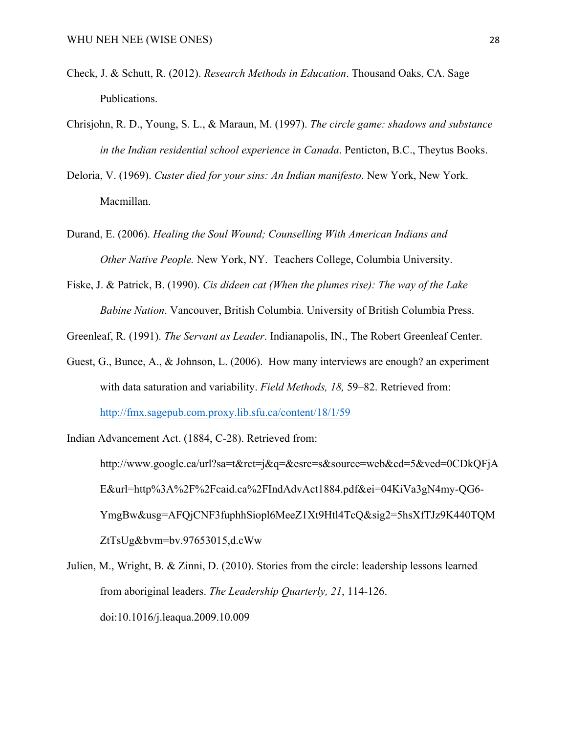- Check, J. & Schutt, R. (2012). *Research Methods in Education*. Thousand Oaks, CA. Sage Publications.
- Chrisjohn, R. D., Young, S. L., & Maraun, M. (1997). *The circle game: shadows and substance in the Indian residential school experience in Canada*. Penticton, B.C., Theytus Books.
- Deloria, V. (1969). *Custer died for your sins: An Indian manifesto*. New York, New York. Macmillan.
- Durand, E. (2006). *Healing the Soul Wound; Counselling With American Indians and Other Native People.* New York, NY. Teachers College, Columbia University.
- Fiske, J. & Patrick, B. (1990). *Cis dideen cat (When the plumes rise): The way of the Lake Babine Nation*. Vancouver, British Columbia. University of British Columbia Press.

Greenleaf, R. (1991). *The Servant as Leader*. Indianapolis, IN., The Robert Greenleaf Center.

Guest, G., Bunce, A., & Johnson, L. (2006). How many interviews are enough? an experiment with data saturation and variability. *Field Methods, 18,* 59–82. Retrieved from: http://fmx.sagepub.com.proxy.lib.sfu.ca/content/18/1/59

Indian Advancement Act. (1884, C-28). Retrieved from: http://www.google.ca/url?sa=t&rct=j&q=&esrc=s&source=web&cd=5&ved=0CDkQFjA E&url=http%3A%2F%2Fcaid.ca%2FIndAdvAct1884.pdf&ei=04KiVa3gN4my-QG6- YmgBw&usg=AFQjCNF3fuphhSiopl6MeeZ1Xt9Htl4TcQ&sig2=5hsXfTJz9K440TQM ZtTsUg&bvm=bv.97653015,d.cWw

Julien, M., Wright, B. & Zinni, D. (2010). Stories from the circle: leadership lessons learned from aboriginal leaders. *The Leadership Quarterly, 21*, 114-126. doi:10.1016/j.leaqua.2009.10.009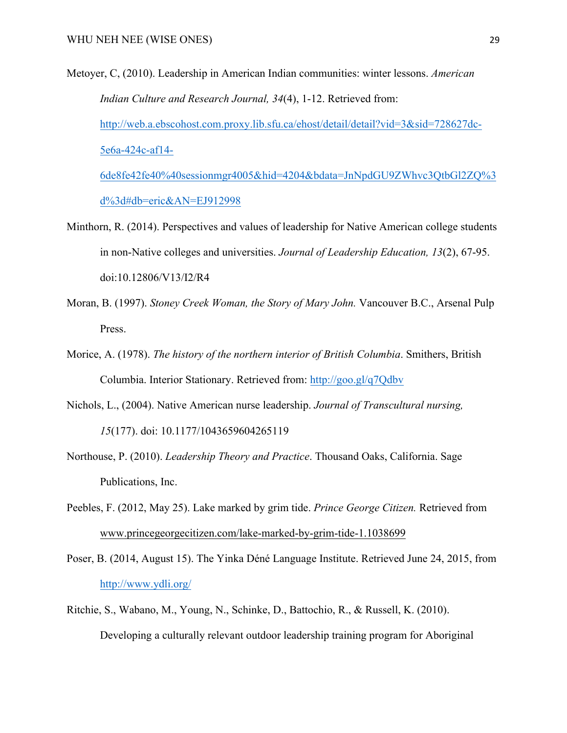Metoyer, C, (2010). Leadership in American Indian communities: winter lessons. *American Indian Culture and Research Journal, 34*(4), 1-12. Retrieved from: http://web.a.ebscohost.com.proxy.lib.sfu.ca/ehost/detail/detail?vid=3&sid=728627dc-5e6a-424c-af14- 6de8fe42fe40%40sessionmgr4005&hid=4204&bdata=JnNpdGU9ZWhvc3QtbGl2ZQ%3

d%3d#db=eric&AN=EJ912998

- Minthorn, R. (2014). Perspectives and values of leadership for Native American college students in non-Native colleges and universities. *Journal of Leadership Education, 13*(2), 67-95. doi:10.12806/V13/I2/R4
- Moran, B. (1997). *Stoney Creek Woman, the Story of Mary John.* Vancouver B.C., Arsenal Pulp Press.
- Morice, A. (1978). *The history of the northern interior of British Columbia*. Smithers, British Columbia. Interior Stationary. Retrieved from: http://goo.gl/q7Qdbv
- Nichols, L., (2004). Native American nurse leadership. *Journal of Transcultural nursing, 15*(177). doi: 10.1177/1043659604265119
- Northouse, P. (2010). *Leadership Theory and Practice*. Thousand Oaks, California. Sage Publications, Inc.
- Peebles, F. (2012, May 25). Lake marked by grim tide. *Prince George Citizen.* Retrieved from www.princegeorgecitizen.com/lake-marked-by-grim-tide-1.1038699
- Poser, B. (2014, August 15). The Yinka Déné Language Institute. Retrieved June 24, 2015, from http://www.ydli.org/
- Ritchie, S., Wabano, M., Young, N., Schinke, D., Battochio, R., & Russell, K. (2010). Developing a culturally relevant outdoor leadership training program for Aboriginal